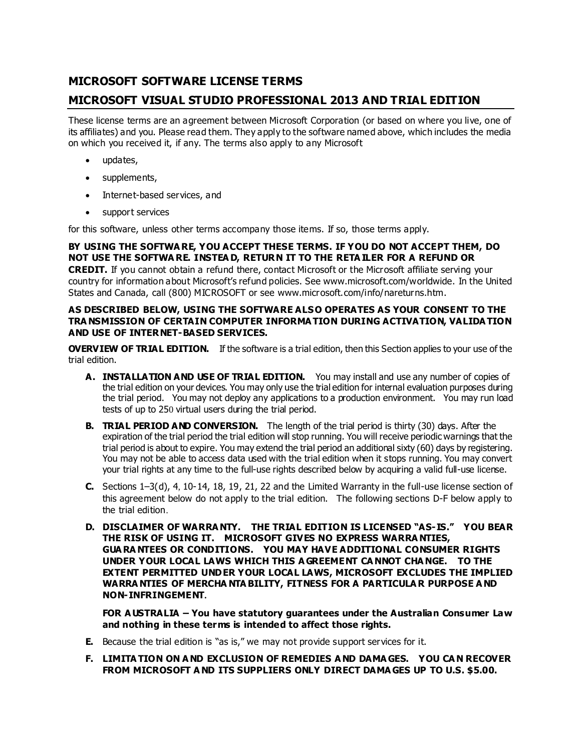# **MICROSOFT SOFTWARE LICENSE TERMS**

# **MICROSOFT VISUAL STUDIO PROFESSIONAL 2013 AND TRIAL EDITION**

These license terms are an agreement between Microsoft Corporation (or based on where you live, one of its affiliates) and you. Please read them. They apply to the software named above, which includes the media on which you received it, if any. The terms also apply to any Microsoft

- updates,
- supplements,
- Internet-based services, and
- support services

for this software, unless other terms accompany those items. If so, those terms apply.

### **BY USING THE SOFTWA RE, YOU ACCEPT THESE TERMS. IF YOU DO NOT ACCEPT THEM, DO NOT USE THE SOFTWA RE. INSTEA D, RETURN IT TO THE RETA ILER FOR A REFUND OR**

**CREDIT.** If you cannot obtain a refund there, contact Microsoft or the Microsoft affiliate serving your country for information about Microsoft's refund policies. See [www.microsoft.com/worldwide.](www.microsoft.com/worldwide) In the United States and Canada, call (800) MICROSOFT or see [www.microsoft.com/info/nareturns.htm.](www.microsoft.com/info/nareturns.htm)

# **AS DESCRIBED BELOW, USING THE SOFTWARE ALSO OPERATES AS YOUR CONSENT TO THE TRA NSMISSION OF CERTAIN COMPUTER INFORMA TION DURING ACTIVATION, VALIDA TION AND USE OF INTERNET-BASED SERVICES.**

**OVERVIEW OF TRIAL EDITION.** If the software is a trial edition, then this Section applies to your use of the trial edition.

- **A. INSTALLATION AND USE OF TRIAL EDITION.** You may install and use any number of copies of the trial edition on your devices. You may only use the trial edition for internal evaluation purposes during the trial period. You may not deploy any applications to a production environment. You may run load tests of up to 250 virtual users during the trial period.
- **B. TRIAL PERIOD AND CONVERSION.** The length of the trial period is thirty (30) days. After the expiration of the trial period the trial edition will stop running. You will receive periodic warnings that the trial period is about to expire. You may extend the trial period an additional sixty (60) days by registering. You may not be able to access data used with the trial edition when it stops running. You may convert your trial rights at any time to the full-use rights described below by acquiring a valid full-use license.
- **C.** Sections 1–3(d), 4, 10-14, 18, 19, 21, 22 and the Limited Warranty in the full-use license section of this agreement below do not apply to the trial edition. The following sections D-F below apply to the trial edition.
- **D. DISCLAIMER OF WARRA NTY. THE TRIAL EDITION IS LICENSED "AS-IS." YOU BEAR THE RISK OF USING IT. MICROSOFT GIVES NO EXPRESS WARRA NTIES, GUA RA NTEES OR CONDITIONS. YOU MAY HAVE ADDITIONAL CONSUMER RIGHTS UNDER YOUR LOCAL LAWS WHICH THIS A GREEMENT CA NNOT CHA NGE. TO THE EXTENT PERMITTED UNDER YOUR LOCAL LAWS, MICROSOFT EXCLUDES THE IMPLIED WARRA NTIES OF MERCHA NTA BILITY, FITNESS FOR A PARTICULA R PURPOSE A ND NON-INFRINGEMENT.**

**FOR A USTRALIA – You have statutory guarantees under the Australian Consumer Law and nothing in these terms is intended to affect those rights.**

- **E.** Because the trial edition is "as is," we may not provide support services for it.
- **F. LIMITA TION ON A ND EXCLUSION OF REMEDIES A ND DAMA GES. YOU CA N RECOVER FROM MICROSOFT A ND ITS SUPPLIERS ONLY DIRECT DAMA GES UP TO U.S. \$5.00.**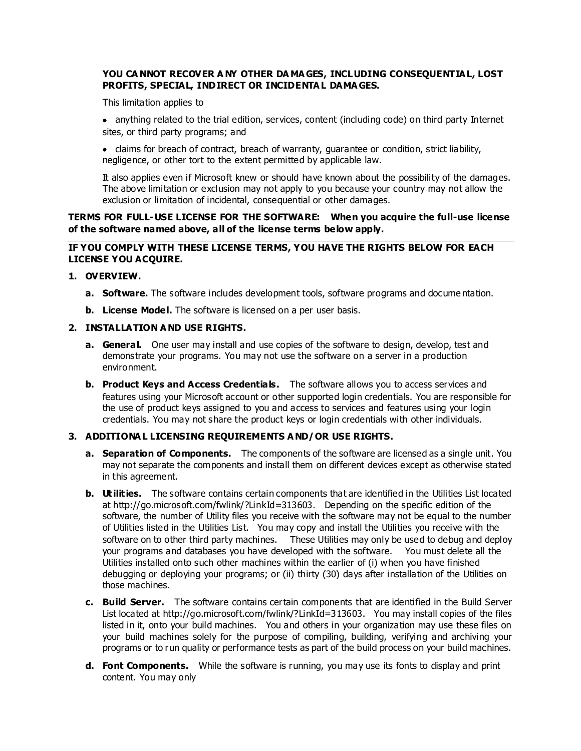# **YOU CA NNOT RECOVER A NY OTHER DA MA GES, INCLUDING CONSEQUENTIAL, LOST PROFITS, SPECIAL, INDIRECT OR INCIDENTA L DAMA GES.**

This limitation applies to

• anything related to the trial edition, services, content (including code) on third party Internet sites, or third party programs; and

• claims for breach of contract, breach of warranty, quarantee or condition, strict liability, negligence, or other tort to the extent permitted by applicable law.

It also applies even if Microsoft knew or should have known about the possibility of the damages. The above limitation or exclusion may not apply to you because your country may not allow the exclusion or limitation of incidental, consequential or other damages.

**TERMS FOR FULL-USE LICENSE FOR THE SOFTWARE: When you acquire the full-use license of the software named above, all of the license terms below apply.**

# **IF YOU COMPLY WITH THESE LICENSE TERMS, YOU HAVE THE RIGHTS BELOW FOR EACH LICENSE YOU ACQUIRE.**

### **1. OVERVIEW.**

- **a. Software.** The software includes development tools, software programs and docume ntation.
- **b. License Model.** The software is licensed on a per user basis.

# **2. INSTALLATION A ND USE RIGHTS.**

- **a. General.** One user may install and use copies of the software to design, develop, test and demonstrate your programs. You may not use the software on a server in a production environment.
- **b. Product Keys and Access Credentials.** The software allows you to access services and features using your Microsoft account or other supported login credentials. You are responsible for the use of product keys assigned to you and access to services and features using your login credentials. You may not share the product keys or login credentials with other individuals.

# **3. ADDITIONA L LICENSING REQUIREMENTS A ND/OR USE RIGHTS.**

- **a. Separation of Components.** The components of the software are licensed as a single unit. You may not separate the components and install them on different devices except as otherwise stated in this agreement.
- **b. Utilities.** The software contains certain components that are identified in the Utilities List located at [http://go.microsoft.com/fwlink/?LinkId=313603.](http://go.microsoft.com/fwlink/?LinkId=313603) Depending on the specific edition of the software, the number of Utility files you receive with the software may not be equal to the number of Utilities listed in the Utilities List. You may copy and install the Utilities you receive with the software on to other third party machines. These Utilities may only be used to debug and deploy your programs and databases you have developed with the software. You must delete all the Utilities installed onto such other machines within the earlier of (i) when you have finished debugging or deploying your programs; or (ii) thirty (30) days after installation of the Utilities on those machines.
- **c. Build Server.** The software contains certain components that are identified in the Build Server List located at [http://go.microsoft.com/fwlink/?LinkId=313603.](http://go.microsoft.com/fwlink/?LinkId=313603) You may install copies of the files listed in it, onto your build machines. You and others in your organization may use these files on your build machines solely for the purpose of compiling, building, verifying and archiving your programs or to run quality or performance tests as part of the build process on your build machines.
- **d. Font Components.** While the software is running, you may use its fonts to display and print content. You may only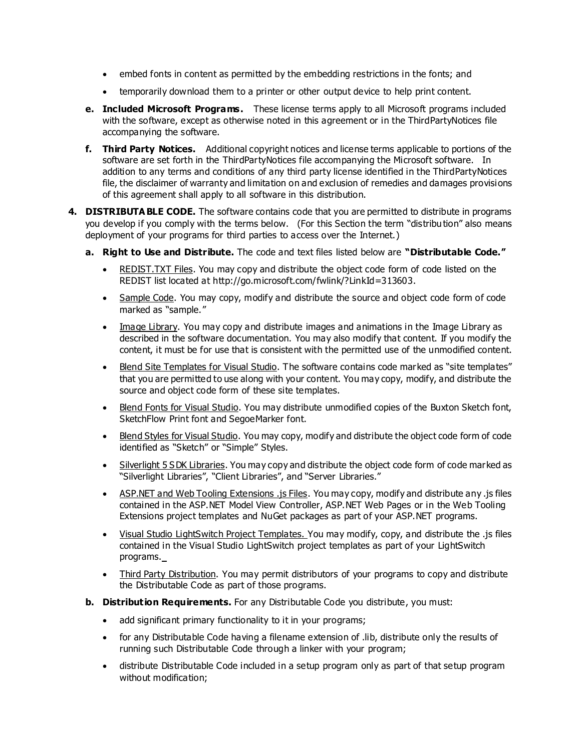- embed fonts in content as permitted by the embedding restrictions in the fonts; and
- temporarily download them to a printer or other output device to help print content.
- **e. Included Microsoft Programs.** These license terms apply to all Microsoft programs included with the software, except as otherwise noted in this agreement or in the ThirdPartyNotices file accompanying the software.
- **f. Third Party Notices.** Additional copyright notices and license terms applicable to portions of the software are set forth in the ThirdPartyNotices file accompanying the Microsoft software. In addition to any terms and conditions of any third party license identified in the ThirdPartyNotices file, the disclaimer of warranty and limitation on and exclusion of remedies and damages provisions of this agreement shall apply to all software in this distribution.
- **4. DISTRIBUTA BLE CODE.** The software contains code that you are permitted to distribute in programs you develop if you comply with the terms below. (For this Section the term "distribu tion" also means deployment of your programs for third parties to access over the Internet.)
	- **a. Right to Use and Distribute.** The code and text files listed below are **"Distributable Code."**
		- REDIST.TXT Files. You may copy and distribute the object code form of code listed on the REDIST list located at [http://go.microsoft.com/fwlink/?LinkId=313603.](http://go.microsoft.com/fwlink/?LinkId=313603)
		- Sample Code. You may copy, modify and distribute the source and object code form of code marked as "sample."
		- Image Library. You may copy and distribute images and animations in the Image Library as described in the software documentation. You may also modify that content. If you modify the content, it must be for use that is consistent with the permitted use of the unmodified content.
		- Blend Site Templates for Visual Studio. The software contains code marked as "site templates" that you are permitted to use along with your content. You may copy, modify, and distribute the source and object code form of these site templates.
		- **Blend Fonts for Visual Studio. You may distribute unmodified copies of the Buxton Sketch font,** SketchFlow Print font and SegoeMarker font.
		- Blend Styles for Visual Studio. You may copy, modify and distribute the object code form of code identified as "Sketch" or "Simple" Styles.
		- Silverlight 5 SDK Libraries. You may copy and distribute the object code form of code marked as "Silverlight Libraries", "Client Libraries", and "Server Libraries."
		- ASP.NET and Web Tooling Extensions .js Files. You may copy, modify and distribute any .js files contained in the ASP.NET Model View Controller, ASP.NET Web Pages or in the Web Tooling Extensions project templates and NuGet packages as part of your ASP.NET programs.
		- Visual Studio LightSwitch Project Templates. You may modify, copy, and distribute the .js files contained in the Visual Studio LightSwitch project templates as part of your LightSwitch programs.
		- Third Party Distribution. You may permit distributors of your programs to copy and distribute the Distributable Code as part of those programs.
	- **b. Distribution Requirements.** For any Distributable Code you distribute, you must:
		- add significant primary functionality to it in your programs;
		- for any Distributable Code having a filename extension of .lib, distribute only the results of running such Distributable Code through a linker with your program;
		- distribute Distributable Code included in a setup program only as part of that setup program without modification;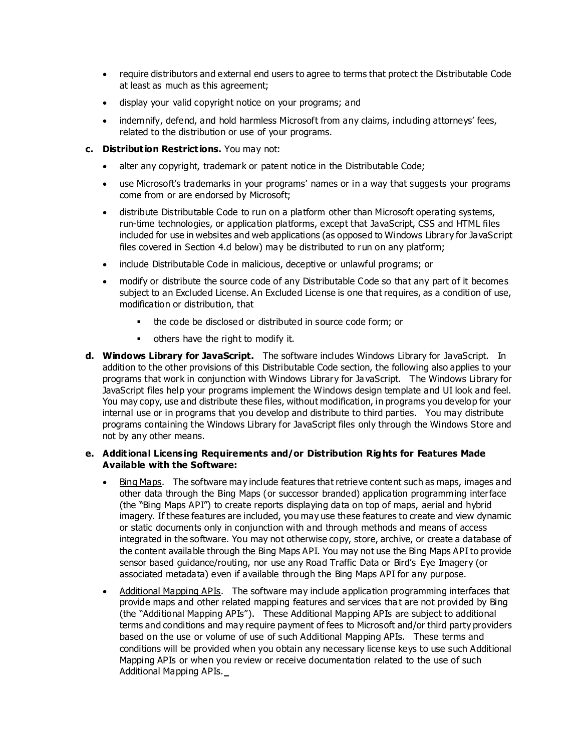- require distributors and external end users to agree to terms that protect the Distributable Code at least as much as this agreement;
- display your valid copyright notice on your programs; and
- indemnify, defend, and hold harmless Microsoft from any claims, including attorneys' fees, related to the distribution or use of your programs.
- **c. Distribution Restrictions.** You may not:
	- alter any copyright, trademark or patent notice in the Distributable Code;
	- use Microsoft's trademarks in your programs' names or in a way that suggests your programs come from or are endorsed by Microsoft;
	- distribute Distributable Code to run on a platform other than Microsoft operating systems, run-time technologies, or application platforms, except that JavaScript, CSS and HTML files included for use in websites and web applications (as opposed to Windows Library for JavaScript files covered in Section 4.d below) may be distributed to run on any platform;
	- include Distributable Code in malicious, deceptive or unlawful programs; or
	- modify or distribute the source code of any Distributable Code so that any part of it becomes subject to an Excluded License. An Excluded License is one that requires, as a condition of use, modification or distribution, that
		- the code be disclosed or distributed in source code form; or
		- others have the right to modify it.
- **d. Windows Library for JavaScript.** The software includes Windows Library for JavaScript. In addition to the other provisions of this Distributable Code section, the following also applies to your programs that work in conjunction with Windows Library for Ja vaScript. The Windows Library for JavaScript files help your programs implement the Windows design template and UI look and feel. You may copy, use and distribute these files, without modification, in programs you develop for your internal use or in programs that you develop and distribute to third parties. You may distribute programs containing the Windows Library for JavaScript files only through the Windows Store and not by any other means.

#### **e. Additional Licensing Requirements and/or Distribution Rights for Features Made Available with the Software:**

- Bing Maps. The software may include features that retrieve content such as maps, images and other data through the Bing Maps (or successor branded) application programming interface (the "Bing Maps API") to create reports displaying data on top of maps, aerial and hybrid imagery. If these features are included, you may use these features to create and view dynamic or static documents only in conjunction with and through methods and means of access integrated in the software. You may not otherwise copy, store, archive, or create a database of the content available through the Bing Maps API. You may not use the Bing Maps API to provide sensor based guidance/routing, nor use any Road Traffic Data or Bird's Eye Imagery (or associated metadata) even if available through the Bing Maps API for any purpose.
- Additional Mapping APIs. The software may include application programming interfaces that provide maps and other related mapping features and services tha t are not provided by Bing (the "Additional Mapping APIs"). These Additional Mapping APIs are subject to additional terms and conditions and may require payment of fees to Microsoft and/or third party providers based on the use or volume of use of such Additional Mapping APIs. These terms and conditions will be provided when you obtain any necessary license keys to use such Additional Mapping APIs or when you review or receive documentation related to the use of such Additional Mapping APIs.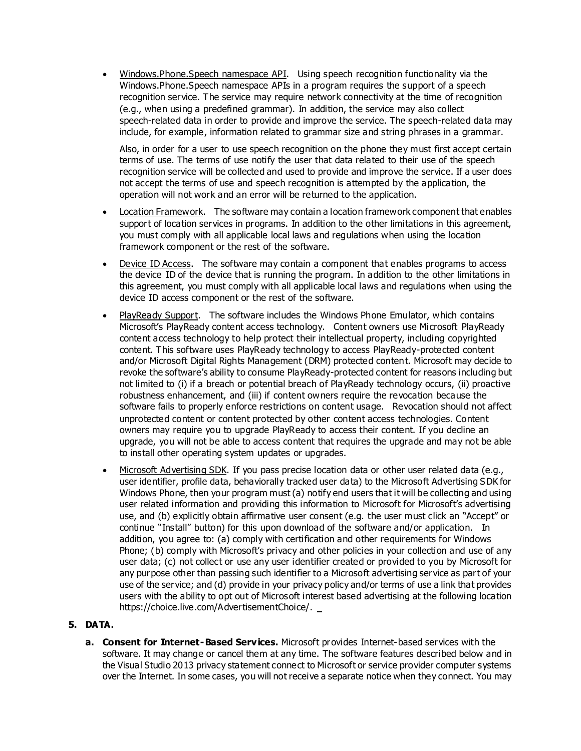Windows.Phone.Speech namespace API. Using speech recognition functionality via the Windows.Phone.Speech namespace APIs in a program requires the support of a speech recognition service. The service may require network connectivity at the time of recognition (e.g., when using a predefined grammar). In addition, the service may also collect speech-related data in order to provide and improve the service. The speech-related data may include, for example, information related to grammar size and string phrases in a grammar.

Also, in order for a user to use speech recognition on the phone they must first accept certain terms of use. The terms of use notify the user that data related to their use of the speech recognition service will be collected and used to provide and improve the service. If a user does not accept the terms of use and speech recognition is attempted by the application, the operation will not work and an error will be returned to the application.

- Location Framework. The software may contain a location framework component that enables support of location services in programs. In addition to the other limitations in this agreement, you must comply with all applicable local laws and regulations when using the location framework component or the rest of the software.
- Device ID Access. The software may contain a component that enables programs to access the device ID of the device that is running the program. In addition to the other limitations in this agreement, you must comply with all applicable local laws and regulations when using the device ID access component or the rest of the software.
- PlayReady Support. The software includes the Windows Phone Emulator, which contains Microsoft's PlayReady content access technology. Content owners use Microsoft PlayReady content access technology to help protect their intellectual property, including copyrighted content. This software uses PlayReady technology to access PlayReady-protected content and/or Microsoft Digital Rights Management (DRM) protected content. Microsoft may decide to revoke the software's ability to consume PlayReady-protected content for reasons including but not limited to (i) if a breach or potential breach of PlayReady technology occurs, (ii) proactive robustness enhancement, and (iii) if content owners require the revocation because the software fails to properly enforce restrictions on content usage. Revocation should not affect unprotected content or content protected by other content access technologies. Content owners may require you to upgrade PlayReady to access their content. If you decline an upgrade, you will not be able to access content that requires the upgrade and may not be able to install other operating system updates or upgrades.
- Microsoft Advertising SDK. If you pass precise location data or other user related data (e.g., user identifier, profile data, behaviorally tracked user data) to the Microsoft Advertising SDK for Windows Phone, then your program must (a) notify end users that it will be collecting and using user related information and providing this information to Microsoft for Microsoft's advertising use, and (b) explicitly obtain affirmative user consent (e.g. the user must click an "Accept" or continue "Install" button) for this upon download of the software and/or application. In addition, you agree to: (a) comply with certification and other requirements for Windows Phone; (b) comply with Microsoft's privacy and other policies in your collection and use of any user data; (c) not collect or use any user identifier created or provided to you by Microsoft for any purpose other than passing such identifier to a Microsoft advertising service as part of your use of the service; and (d) provide in your privacy policy and/or terms of use a link that provides users with the ability to opt out of Microsoft interest based advertising at the following location [https://choice.live.com/AdvertisementChoice/.](https://choice.live.com/AdvertisementChoice/)

#### **5. DATA.**

**a. Consent for Internet-Based Services.** Microsoft provides Internet-based services with the software. It may change or cancel them at any time. The software features described below and in the Visual Studio 2013 privacy statement connect to Microsoft or service provider computer systems over the Internet. In some cases, you will not receive a separate notice when they connect. You may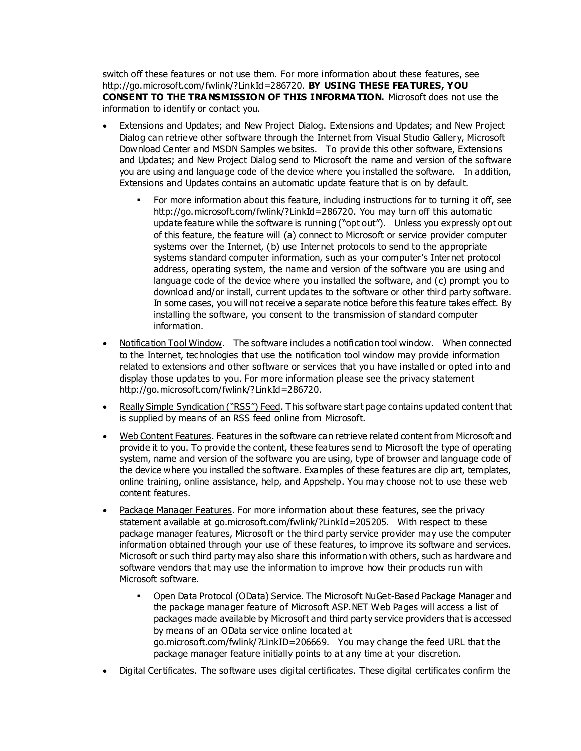switch off these features or not use them. For more information about these features, see [http://go.microsoft.com/fwlink/?LinkId=286720.](http://go.microsoft.com/fwlink/?LinkId=286720) **BY USING THESE FEA TURES, YOU CONSENT TO THE TRA NSMISSION OF THIS INFORMA TION.** Microsoft does not use the information to identify or contact you.

- **Extensions and Updates; and New Project Dialog. Extensions and Updates; and New Project** Dialog can retrieve other software through the Internet from Visual Studio Gallery, Microsoft Download Center and MSDN Samples websites. To provide this other software, Extensions and Updates; and New Project Dialog send to Microsoft the name and version of the software you are using and language code of the device where you installed the software. In addition, Extensions and Updates contains an automatic update feature that is on by default.
	- For more information about this feature, including instructions for to turning it off, see [http://go.microsoft.com/fwlink/?LinkId=286720.](http://go.microsoft.com/fwlink/?LinkId=286720) You may turn off this automatic update feature while the software is running ("opt out"). Unless you expressly opt out of this feature, the feature will (a) connect to Microsoft or service provider computer systems over the Internet, (b) use Internet protocols to send to the appropriate systems standard computer information, such as your computer's Internet protocol address, operating system, the name and version of the software you are using and language code of the device where you installed the software, and (c) prompt you to download and/or install, current updates to the software or other third party software. In some cases, you will not receive a separate notice before this feature takes effect. By installing the software, you consent to the transmission of standard computer information.
- Notification Tool Window. The software includes a notification tool window. When connected to the Internet, technologies that use the notification tool window may provide information related to extensions and other software or services that you have installed or opted into and display those updates to you. For more information please see the privacy statement [http://go.microsoft.com/fwlink/?LinkId=286720.](http://go.microsoft.com/fwlink/?LinkId=286720)
- Really Simple Syndication ("RSS") Feed. This software start page contains updated content that is supplied by means of an RSS feed online from Microsoft.
- Web Content Features. Features in the software can retrieve related content from Microsoft and provide it to you. To provide the content, these features send to Microsoft the type of operating system, name and version of the software you are using, type of browser and language code of the device where you installed the software. Examples of these features are clip art, templates, online training, online assistance, help, and Appshelp. You may choose not to use these web content features.
- Package Manager Features. For more information about these features, see the privacy statement available at go.microsoft.com/fwlink/?LinkId=205205. With respect to these package manager features, Microsoft or the third party service provider may use the computer information obtained through your use of these features, to improve its software and services. Microsoft or such third party may also share this information with others, such as hardware and software vendors that may use the information to improve how their products run with Microsoft software.
	- Open Data Protocol (OData) Service. The Microsoft NuGet-Based Package Manager and the package manager feature of Microsoft ASP.NET Web Pages will access a list of packages made available by Microsoft and third party service providers that is accessed by means of an OData service online located at go.microsoft.com/fwlink/?LinkID=206669. You may change the feed URL that the package manager feature initially points to at any time at your discretion.
- Digital Certificates. The software uses digital certificates. These digital certificates confirm the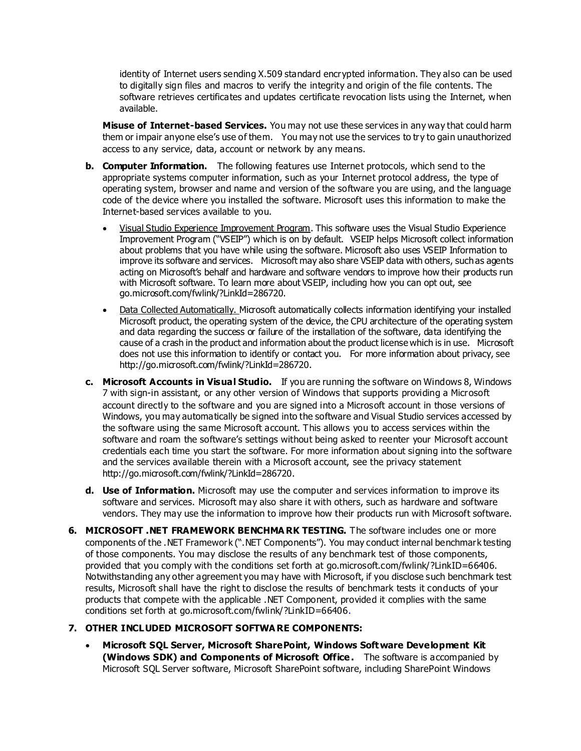identity of Internet users sending X.509 standard encrypted information. They also can be used to digitally sign files and macros to verify the integrity and origin of the file contents. The software retrieves certificates and updates certificate revocation lists using the Internet, when available.

**Misuse of Internet-based Services.** You may not use these services in any way that could harm them or impair anyone else's use of them. You may not use the services to try to gain unauthorized access to any service, data, account or network by any means.

- **b. Computer Information.** The following features use Internet protocols, which send to the appropriate systems computer information, such as your Internet protocol address, the type of operating system, browser and name and version of the software you are using, and the language code of the device where you installed the software. Microsoft uses this information to make the Internet-based services available to you.
	- Visual Studio Experience Improvement Program. This software uses the Visual Studio Experience Improvement Program ("VSEIP") which is on by default. VSEIP helps Microsoft collect information about problems that you have while using the software. Microsoft also uses VSEIP Information to improve its software and services. Microsoft may also share VSEIP data with others, such as agents acting on Microsoft's behalf and hardware and software vendors to improve how their products run with Microsoft software. To learn more about VSEIP, including how you can opt out, see go.microsoft.com/fwlink/?LinkId=286720.
	- Data Collected Automatically. Microsoft automatically collects information identifying your installed Microsoft product, the operating system of the device, the CPU architecture of the operating system and data regarding the success or failure of the installation of the software, data identifying the cause of a crash in the product and information about the product license which is in use. Microsoft does not use this information to identify or contact you. For more information about privacy, see [http://go.microsoft.com/fwlink/?LinkId=286720.](http://go.microsoft.com/fwlink/?LinkId=286720)
- **c. Microsoft Accounts in Visual Studio.** If you are running the software on Windows 8, Windows 7 with sign-in assistant, or any other version of Windows that supports providing a Microsoft account directly to the software and you are signed into a Microsoft account in those versions of Windows, you may automatically be signed into the software and Visual Studio services accessed by the software using the same Microsoft account. This allows you to access services within the software and roam the software's settings without being asked to reenter your Microsoft account credentials each time you start the software. For more information about signing into the software and the services available therein with a Microsoft account, see the privacy statement [http://go.microsoft.com/fwlink/?LinkId=286720.](http://go.microsoft.com/fwlink/?LinkId=286720)
- **d. Use of Information.** Microsoft may use the computer and services information to improve its software and services. Microsoft may also share it with others, such as hardware and software vendors. They may use the information to improve how their products run with Microsoft software.
- **6. MICROSOFT .NET FRAMEWORK BENCHMA RK TESTING.** The software includes one or more components of the .NET Framework (".NET Components"). You may conduct internal benchmark testing of those components. You may disclose the results of any benchmark test of those components, provided that you comply with the conditions set forth at go.microsoft.com/fwlink/?LinkID=66406. Notwithstanding any other agreement you may have with Microsoft, if you disclose such benchmark test results, Microsoft shall have the right to disclose the results of benchmark tests it conducts of your products that compete with the applicable .NET Component, provided it complies with the same conditions set forth at go.microsoft.com/fwlink/?LinkID=66406.

# **7. OTHER INCLUDED MICROSOFT SOFTWA RE COMPONENTS:**

 **Microsoft SQL Server, Microsoft SharePoint, Windows Software Development Kit (Windows SDK) and Components of Microsoft Office .** The software is accompanied by Microsoft SQL Server software, Microsoft SharePoint software, including SharePoint Windows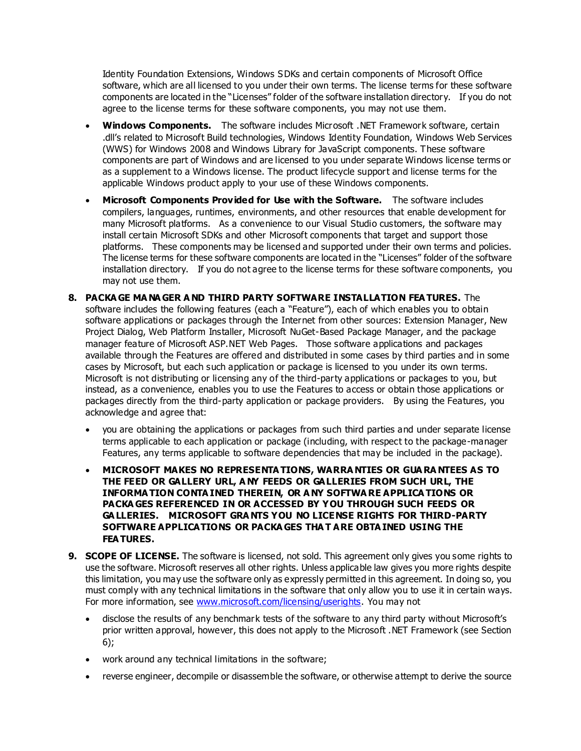Identity Foundation Extensions, Windows SDKs and certain components of Microsoft Office software, which are all licensed to you under their own terms. The license terms for these software components are located in the "Licenses" folder of the software installation directory. If you do not agree to the license terms for these software components, you may not use them.

- **Windows Components.** The software includes Microsoft .NET Framework software, certain .dll's related to Microsoft Build technologies, Windows Identity Foundation, Windows Web Services (WWS) for Windows 2008 and Windows Library for JavaScript components. These software components are part of Windows and are licensed to you under separate Windows license terms or as a supplement to a Windows license. The product lifecycle support and license terms for the applicable Windows product apply to your use of these Windows components.
- **Microsoft Components Provided for Use with the Software.** The software includes compilers, languages, runtimes, environments, and other resources that enable development for many Microsoft platforms. As a convenience to our Visual Studio customers, the software may install certain Microsoft SDKs and other Microsoft components that target and support those platforms. These components may be licensed and supported under their own terms and policies. The license terms for these software components are located in the "Licenses" folder of the software installation directory. If you do not agree to the license terms for these software components, you may not use them.
- **8. PACKA GE MA NA GER A ND THIRD PARTY SOFTWARE INSTALLATION FEA TURES.** The software includes the following features (each a "Feature"), each of which enables you to obtain software applications or packages through the Internet from other sources: Extension Manager, New Project Dialog, Web Platform Installer, Microsoft NuGet-Based Package Manager, and the package manager feature of Microsoft ASP.NET Web Pages. Those software applications and packages available through the Features are offered and distributed in some cases by third parties and in some cases by Microsoft, but each such application or package is licensed to you under its own terms. Microsoft is not distributing or licensing any of the third-party applications or packages to you, but instead, as a convenience, enables you to use the Features to access or obtain those applications or packages directly from the third-party application or package providers. By using the Features, you acknowledge and agree that:
	- you are obtaining the applications or packages from such third parties and under separate license terms applicable to each application or package (including, with respect to the package-manager Features, any terms applicable to software dependencies that may be included in the package).
	- **MICROSOFT MAKES NO REPRESENTA TIONS, WARRA NTIES OR GUA RA NTEES AS TO THE FEED OR GALLERY URL, A NY FEEDS OR GALLERIES FROM SUCH URL, THE INFORMA TION CONTA INED THEREIN, OR A NY SOFTWA RE APPLICA TIONS OR PACKA GES REFERENCED IN OR ACCESSED BY YOU THROUGH SUCH FEEDS OR GA LLERIES. MICROSOFT GRA NTS YOU NO LICENSE RIGHTS FOR THIRD-PARTY SOFTWARE APPLICATIONS OR PACKA GES THA T ARE OBTA INED USING THE FEA TURES.**
- **9. SCOPE OF LICENSE.** The software is licensed, not sold. This agreement only gives you some rights to use the software. Microsoft reserves all other rights. Unless applicable law gives you more rights despite this limitation, you may use the software only as expressly permitted in this agreement. In doing so, you must comply with any technical limitations in the software that only allow you to use it in certain ways. For more information, see [www.microsoft.com/licensing/userights.](http://www.microsoft.com/licensing/userights) You may not
	- disclose the results of any benchmark tests of the software to any third party without Microsoft's prior written approval, however, this does not apply to the Microsoft .NET Framework (see Section 6);
	- work around any technical limitations in the software;
	- reverse engineer, decompile or disassemble the software, or otherwise attempt to derive the source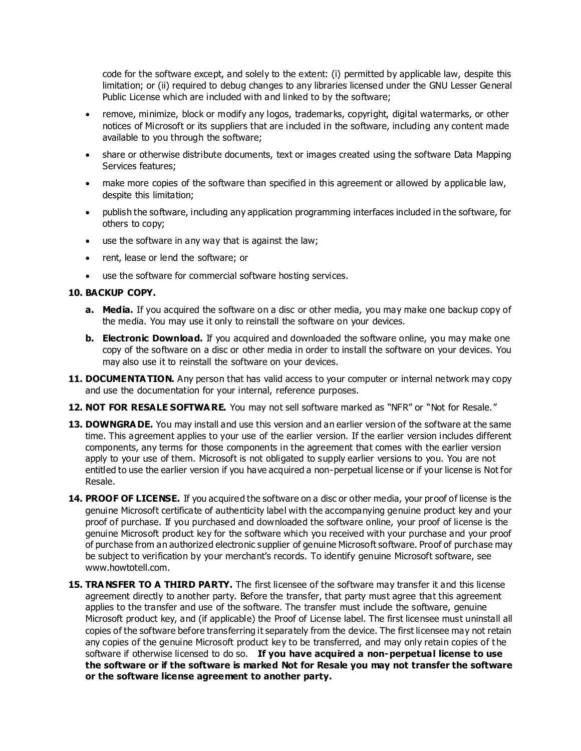code for the software except, and solely to the extent: (i) permitted by applicable law, despite this limitation; or (ii) required to debug changes to any libraries licensed under the GNU Lesser General Public License which are included with and linked to by the software;

- remove, minimize, block or modify any logos, trademarks, copyright, digital watermarks, or other notices of Microsoft or its suppliers that are included in the software, including any content made available to you through the software;
- share or otherwise distribute documents, text or images created using the software Data Mapping Services features;
- make more copies of the software than specified in this agreement or allowed by applicable law, despite this limitation;
- publish the software, including any application programming interfaces included in the software, for others to copy;
- use the software in any way that is against the law;
- rent, lease or lend the software; or
- use the software for commercial software hosting services.

### **10. BACKUP COPY.**

- **a. Media.** If you acquired the software on a disc or other media, you may make one backup copy of the media. You may use it only to reinstall the software on your devices.
- **b. Electronic Download.** If you acquired and downloaded the software online, you may make one copy of the software on a disc or other media in order to install the software on your devices. You may also use it to reinstall the software on your devices.
- **11. DOCUMENTA TION.** Any person that has valid access to your computer or internal network may copy and use the documentation for your internal, reference purposes.
- **12. NOT FOR RESALE SOFTWA RE.** You may not sell software marked as "NFR" or "Not for Resale."
- **13. DOWNGRA DE.** You may install and use this version and an earlier version of the software at the same time. This agreement applies to your use of the earlier version. If the earlier version includes different components, any terms for those components in the agreement that comes with the earlier version apply to your use of them. Microsoft is not obligated to supply earlier versions to you. You are not entitled to use the earlier version if you have acquired a non-perpetual license or if your license is Not for Resale.
- **14. PROOF OF LICENSE.** If you acquired the software on a disc or other media, your proof of license is the genuine Microsoft certificate of authenticity label with the accompanying genuine product key and your proof of purchase. If you purchased and downloaded the software online, your proof of license is the genuine Microsoft product key for the software which you received with your purchase and your proof of purchase from an authorized electronic supplier of genuine Microsoft software. Proof of purchase may be subject to verification by your merchant's records. To identify genuine Microsoft software, see [www.howtotell.com.](www.howtotell.com)
- **15. TRA NSFER TO A THIRD PARTY.** The first licensee of the software may transfer it and this license agreement directly to another party. Before the transfer, that party must agree that this agreement applies to the transfer and use of the software. The transfer must include the software, genuine Microsoft product key, and (if applicable) the Proof of License label. The first licensee must uninstall all copies of the software before transferring it separately from the device. The first licensee may not retain any copies of the genuine Microsoft product key to be transferred, and may only retain copies of t he software if otherwise licensed to do so. **If you have acquired a non-perpetual license to use the software or if the software is marked Not for Resale you may not transfer the software or the software license agreement to another party.**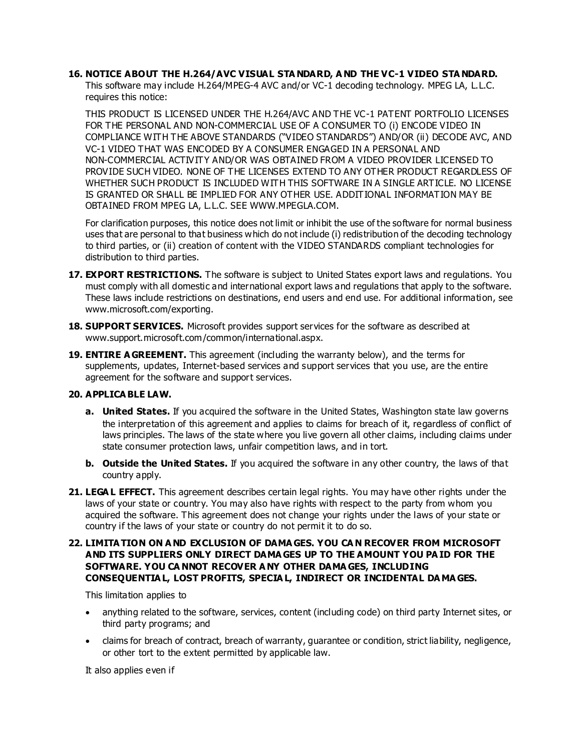# **16. NOTICE ABOUT THE H.264/AVC VISUAL STA NDARD, A ND THE VC-1 VIDEO STA NDARD.**

This software may include H.264/MPEG-4 AVC and/or VC-1 decoding technology. MPEG LA, L.L.C. requires this notice:

THIS PRODUCT IS LICENSED UNDER THE H.264/AVC AND THE VC-1 PATENT PORTFOLIO LICENSES FOR THE PERSONAL AND NON-COMMERCIAL USE OF A CONSUMER TO (i) ENCODE VIDEO IN COMPLIANCE WITH THE ABOVE STANDARDS ("VIDEO STANDARDS") AND/OR (ii) DECODE AVC, AND VC-1 VIDEO THAT WAS ENCODED BY A CONSUMER ENGAGED IN A PERSONAL AND NON-COMMERCIAL ACTIVITY AND/OR WAS OBTAINED FROM A VIDEO PROVIDER LICENSED TO PROVIDE SUCH VIDEO. NONE OF THE LICENSES EXTEND TO ANY OTHER PRODUCT REGARDLESS OF WHETHER SUCH PRODUCT IS INCLUDED WITH THIS SOFTWARE IN A SINGLE ARTICLE. NO LICENSE IS GRANTED OR SHALL BE IMPLIED FOR ANY OTHER USE. ADDITIONAL INFORMATION MAY BE OBTAINED FROM MPEG LA, L.L.C. SEE [WWW.MPEGLA.COM.](WWW.MPEGLA.COM)

For clarification purposes, this notice does not limit or inhibit the use of the software for normal business uses that are personal to that business which do not include (i) redistribution of the decoding technology to third parties, or (ii) creation of content with the VIDEO STANDARDS compliant technologies for distribution to third parties.

- **17. <b>EXPORT RESTRICTIONS.** The software is subject to United States export laws and regulations. You must comply with all domestic and international export laws and regulations that apply to the software. These laws include restrictions on destinations, end users and end use. For additional information, see [www.microsoft.com/exporting.](www.microsoft.com/exporting)
- **18. SUPPORT SERVICES.** Microsoft provides support services for the software as described at [www.support.microsoft.com/common/international.aspx.](www.support.microsoft.com/common/international.aspx)
- **19. ENTIRE A GREEMENT.** This agreement (including the warranty below), and the terms for supplements, updates, Internet-based services and support services that you use, are the entire agreement for the software and support services.

# **20. APPLICA BLE LAW.**

- **a. United States.** If you acquired the software in the United States, Washington state law governs the interpretation of this agreement and applies to claims for breach of it, regardless of conflict of laws principles. The laws of the state where you live govern all other claims, including claims under state consumer protection laws, unfair competition laws, and in tort.
- **b. Outside the United States.** If you acquired the software in any other country, the laws of that country apply.
- **21. LEGA L EFFECT.** This agreement describes certain legal rights. You may have other rights under the laws of your state or country. You may also have rights with respect to the party from whom you acquired the software. This agreement does not change your rights under the laws of your state or country if the laws of your state or country do not permit it to do so.

# **22. LIMITA TION ON A ND EXCLUSION OF DAMA GES. YOU CA N RECOVER FROM MICROSOFT AND ITS SUPPLIERS ONLY DIRECT DAMA GES UP TO THE AMOUNT YOU PA ID FOR THE SOFTWARE. YOU CA NNOT RECOVER A NY OTHER DAMA GES, INCLUDING CONSEQUENTIA L, LOST PROFITS, SPECIA L, INDIRECT OR INCIDENTAL DA MA GES.**

This limitation applies to

- anything related to the software, services, content (including code) on third party Internet sites, or third party programs; and
- claims for breach of contract, breach of warranty, guarantee or condition, strict liability, negligence, or other tort to the extent permitted by applicable law.

It also applies even if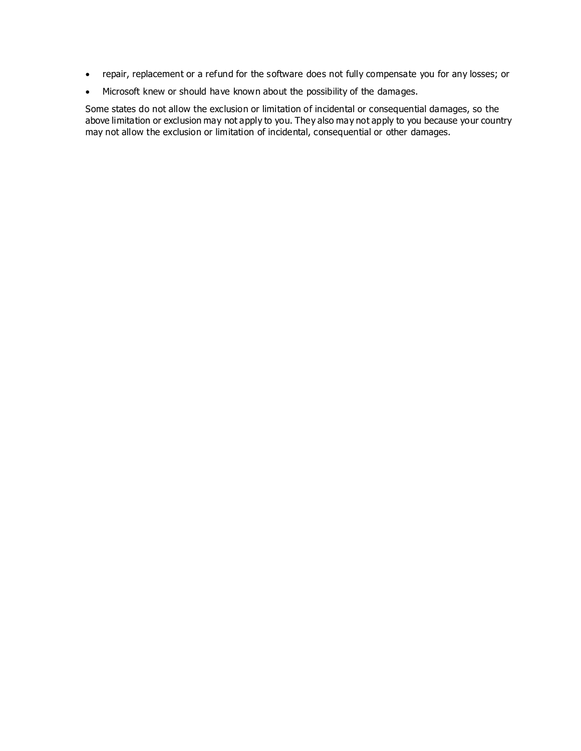- repair, replacement or a refund for the software does not fully compensate you for any losses; or
- Microsoft knew or should have known about the possibility of the damages.

Some states do not allow the exclusion or limitation of incidental or consequential damages, so the above limitation or exclusion may not apply to you. They also may not apply to you because your country may not allow the exclusion or limitation of incidental, consequential or other damages.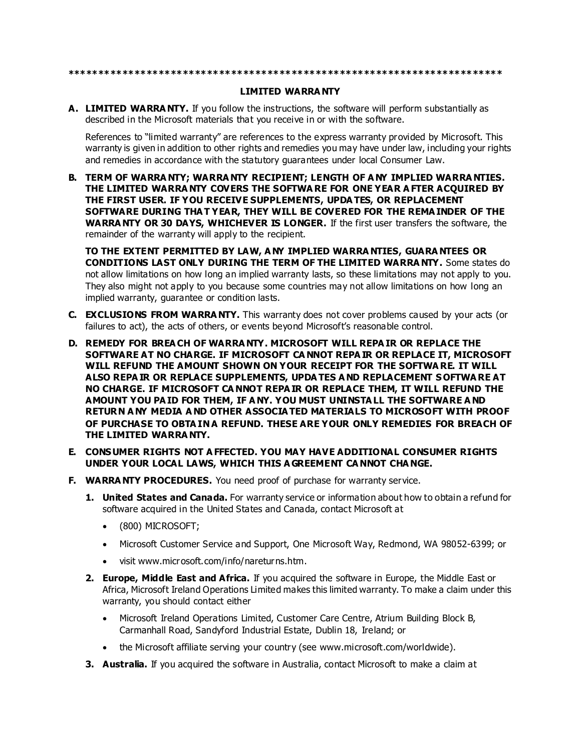#### **\*\*\*\*\*\*\*\*\*\*\*\*\*\*\*\*\*\*\*\*\*\*\*\*\*\*\*\*\*\*\*\*\*\*\*\*\*\*\*\*\*\*\*\*\*\*\*\*\*\*\*\*\*\*\*\*\*\*\*\*\*\*\*\*\*\*\*\*\*\*\*\***

#### **LIMITED WARRA NTY**

**A. LIMITED WARRA NTY.** If you follow the instructions, the software will perform substantially as described in the Microsoft materials that you receive in or with the software.

References to "limited warranty" are references to the express warranty provided by Microsoft. This warranty is given in addition to other rights and remedies you may have under law, including your rights and remedies in accordance with the statutory guarantees under local Consumer Law.

**B. TERM OF WARRA NTY; WARRA NTY RECIPIENT; LENGTH OF A NY IMPLIED WARRA NTIES. THE LIMITED WARRA NTY COVERS THE SOFTWA RE FOR ONE YEAR A FTER ACQUIRED BY THE FIRST USER. IF YOU RECEIVE SUPPLEMENTS, UPDA TES, OR REPLACEMENT SOFTWARE DURING THA T YEAR, THEY WILL BE COVERED FOR THE REMA INDER OF THE WARRA NTY OR 30 DAYS, WHICHEVER IS LONGER.** If the first user transfers the software, the remainder of the warranty will apply to the recipient.

**TO THE EXTENT PERMITTED BY LAW, A NY IMPLIED WARRA NTIES, GUARA NTEES OR CONDITIONS LAST ONLY DURING THE TERM OF THE LIMITED WARRA NTY.** Some states do not allow limitations on how long an implied warranty lasts, so these limitations may not apply to you. They also might not apply to you because some countries may not allow limitations on how long an implied warranty, guarantee or condition lasts.

- **C. EXCLUSIONS FROM WARRA NTY.** This warranty does not cover problems caused by your acts (or failures to act), the acts of others, or events beyond Microsoft's reasonable control.
- **D. REMEDY FOR BREA CH OF WARRA NTY. MICROSOFT WILL REPA IR OR REPLACE THE SOFTWARE AT NO CHARGE. IF MICROSOFT CA NNOT REPA IR OR REPLACE IT, MICROSOFT WILL REFUND THE AMOUNT SHOWN ON YOUR RECEIPT FOR THE SOFTWA RE. IT WILL ALSO REPA IR OR REPLACE SUPPLEMENTS, UPDA TES A ND REPLACEMENT SOFTWA RE AT NO CHARGE. IF MICROSOFT CA NNOT REPA IR OR REPLACE THEM, IT WILL REFUND THE AMOUNT YOU PA ID FOR THEM, IF A NY. YOU MUST UNINSTA LL THE SOFTWARE A ND RETURN A NY MEDIA A ND OTHER ASSOCIA TED MATERIALS TO MICROSOFT WITH PROOF OF PURCHASE TO OBTA IN A REFUND. THESE ARE YOUR ONLY REMEDIES FOR BREACH OF THE LIMITED WARRA NTY.**
- **E. CONSUMER RIGHTS NOT A FFECTED. YOU MAY HAVE ADDITIONAL CONSUMER RIGHTS UNDER YOUR LOCAL LAWS, WHICH THIS A GREEMENT CA NNOT CHA NGE.**
- **F. WARRA NTY PROCEDURES.** You need proof of purchase for warranty service.
	- **1. United States and Canada.** For warranty service or information about how to obtain a refund for software acquired in the United States and Canada, contact Microsoft at
		- (800) MICROSOFT;
		- Microsoft Customer Service and Support, One Microsoft Way, Redmond, WA 98052-6399; or
		- visit [www.microsoft.com/info/nareturns.htm.](www.microsoft.com/info/nareturns.htm)
	- **2. Europe, Middle East and Africa.** If you acquired the software in Europe, the Middle East or Africa, Microsoft Ireland Operations Limited makes this limited warranty. To make a claim under this warranty, you should contact either
		- Microsoft Ireland Operations Limited, Customer Care Centre, Atrium Building Block B, Carmanhall Road, Sandyford Industrial Estate, Dublin 18, Ireland; or
		- the Microsoft affiliate serving your country (see [www.microsoft.com/worldwide\)](www.microsoft.com/worldwide).
	- **3. Australia.** If you acquired the software in Australia, contact Microsoft to make a claim at